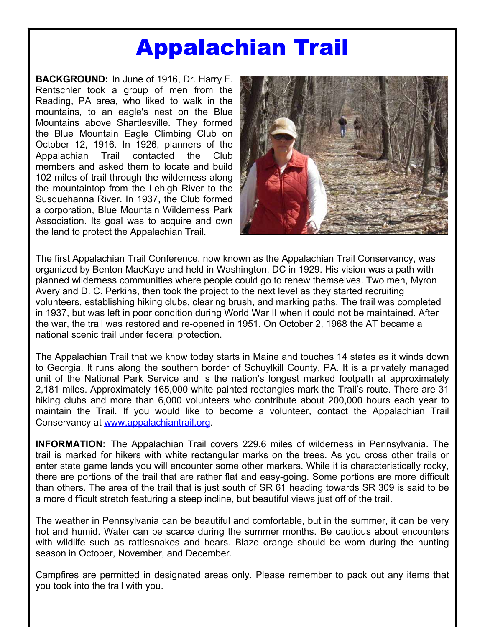# Appalachian Trail

**BACKGROUND:** In June of 1916, Dr. Harry F. Rentschler took a group of men from the Reading, PA area, who liked to walk in the mountains, to an eagle's nest on the Blue Mountains above Shartlesville. They formed the Blue Mountain Eagle Climbing Club on October 12, 1916. In 1926, planners of the Appalachian Trail contacted the Club members and asked them to locate and build 102 miles of trail through the wilderness along the mountaintop from the Lehigh River to the Susquehanna River. In 1937, the Club formed a corporation, Blue Mountain Wilderness Park Association. Its goal was to acquire and own the land to protect the Appalachian Trail.



The first Appalachian Trail Conference, now known as the Appalachian Trail Conservancy, was organized by Benton MacKaye and held in Washington, DC in 1929. His vision was a path with planned wilderness communities where people could go to renew themselves. Two men, Myron Avery and D. C. Perkins, then took the project to the next level as they started recruiting volunteers, establishing hiking clubs, clearing brush, and marking paths. The trail was completed in 1937, but was left in poor condition during World War II when it could not be maintained. After the war, the trail was restored and re-opened in 1951. On October 2, 1968 the AT became a national scenic trail under federal protection.

The Appalachian Trail that we know today starts in Maine and touches 14 states as it winds down to Georgia. It runs along the southern border of Schuylkill County, PA. It is a privately managed unit of the National Park Service and is the nation's longest marked footpath at approximately 2,181 miles. Approximately 165,000 white painted rectangles mark the Trail's route. There are 31 hiking clubs and more than 6,000 volunteers who contribute about 200,000 hours each year to maintain the Trail. If you would like to become a volunteer, contact the Appalachian Trail Conservancy at www.appalachiantrail.org.

**INFORMATION:** The Appalachian Trail covers 229.6 miles of wilderness in Pennsylvania. The trail is marked for hikers with white rectangular marks on the trees. As you cross other trails or enter state game lands you will encounter some other markers. While it is characteristically rocky, there are portions of the trail that are rather flat and easy-going. Some portions are more difficult than others. The area of the trail that is just south of SR 61 heading towards SR 309 is said to be a more difficult stretch featuring a steep incline, but beautiful views just off of the trail.

The weather in Pennsylvania can be beautiful and comfortable, but in the summer, it can be very hot and humid. Water can be scarce during the summer months. Be cautious about encounters with wildlife such as rattlesnakes and bears. Blaze orange should be worn during the hunting season in October, November, and December.

Campfires are permitted in designated areas only. Please remember to pack out any items that you took into the trail with you.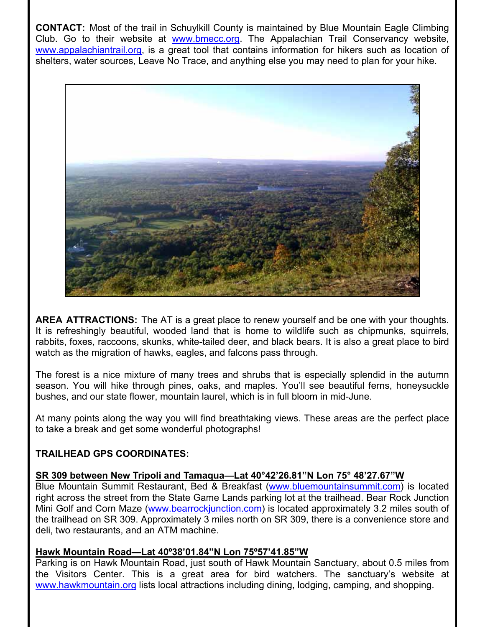**CONTACT:** Most of the trail in Schuylkill County is maintained by Blue Mountain Eagle Climbing Club. Go to their website at www.bmecc.org. The Appalachian Trail Conservancy website, www.appalachiantrail.org, is a great tool that contains information for hikers such as location of shelters, water sources, Leave No Trace, and anything else you may need to plan for your hike.



**AREA ATTRACTIONS:** The AT is a great place to renew yourself and be one with your thoughts. It is refreshingly beautiful, wooded land that is home to wildlife such as chipmunks, squirrels, rabbits, foxes, raccoons, skunks, white-tailed deer, and black bears. It is also a great place to bird watch as the migration of hawks, eagles, and falcons pass through.

The forest is a nice mixture of many trees and shrubs that is especially splendid in the autumn season. You will hike through pines, oaks, and maples. You'll see beautiful ferns, honeysuckle bushes, and our state flower, mountain laurel, which is in full bloom in mid-June.

At many points along the way you will find breathtaking views. These areas are the perfect place to take a break and get some wonderful photographs!

# **TRAILHEAD GPS COORDINATES:**

#### **SR 309 between New Tripoli and Tamaqua—Lat 40°42'26.81"N Lon 75° 48'27.67"W**

Blue Mountain Summit Restaurant, Bed & Breakfast (www.bluemountainsummit.com) is located right across the street from the State Game Lands parking lot at the trailhead. Bear Rock Junction Mini Golf and Corn Maze (www.bearrockjunction.com) is located approximately 3.2 miles south of the trailhead on SR 309. Approximately 3 miles north on SR 309, there is a convenience store and deli, two restaurants, and an ATM machine.

## **Hawk Mountain Road—Lat 40º38'01.84"N Lon 75º57'41.85"W**

Parking is on Hawk Mountain Road, just south of Hawk Mountain Sanctuary, about 0.5 miles from the Visitors Center. This is a great area for bird watchers. The sanctuary's website at www.hawkmountain.org lists local attractions including dining, lodging, camping, and shopping.